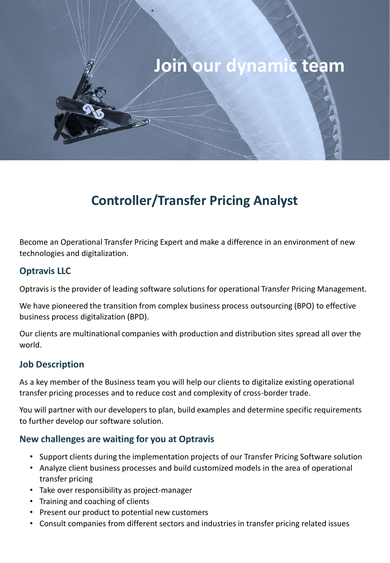# **Join our dynamic team**

# **Controller/Transfer Pricing Analyst**

Become an Operational Transfer Pricing Expert and make a difference in an environment of new technologies and digitalization.

## **Optravis LLC**

Optravis is the provider of leading software solutions for operational Transfer Pricing Management.

We have pioneered the transition from complex business process outsourcing (BPO) to effective business process digitalization (BPD).

Our clients are multinational companies with production and distribution sites spread all over the world.

#### **Job Description**

As a key member of the Business team you will help our clients to digitalize existing operational transfer pricing processes and to reduce cost and complexity of cross-border trade.

You will partner with our developers to plan, build examples and determine specific requirements to further develop our software solution.

#### **New challenges are waiting for you at Optravis**

- Support clients during the implementation projects of our Transfer Pricing Software solution
- Analyze client business processes and build customized models in the area of operational transfer pricing
- Take over responsibility as project-manager
- Training and coaching of clients
- Present our product to potential new customers
- Consult companies from different sectors and industries in transfer pricing related issues